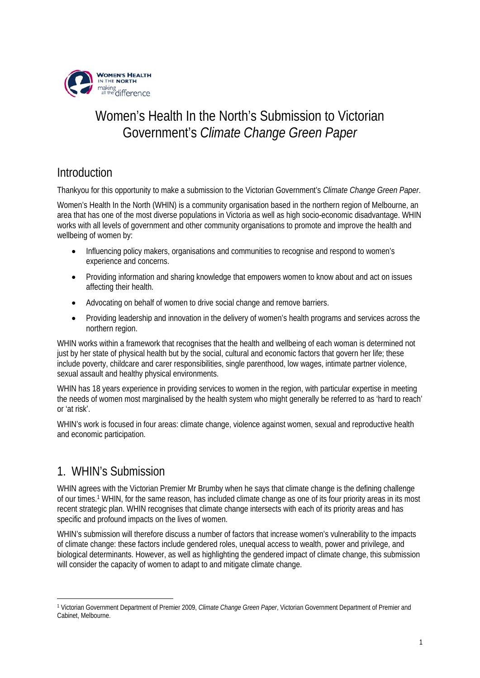

# Women's Health In the North's Submission to Victorian Government's *Climate Change Green Paper*

# Introduction

Thankyou for this opportunity to make a submission to the Victorian Government's *Climate Change Green Paper*.

Women's Health In the North (WHIN) is a community organisation based in the northern region of Melbourne, an area that has one of the most diverse populations in Victoria as well as high socio-economic disadvantage. WHIN works with all levels of government and other community organisations to promote and improve the health and wellbeing of women by:

- Influencing policy makers, organisations and communities to recognise and respond to women's experience and concerns.
- Providing information and sharing knowledge that empowers women to know about and act on issues affecting their health.
- Advocating on behalf of women to drive social change and remove barriers.
- Providing leadership and innovation in the delivery of women's health programs and services across the northern region.

WHIN works within a framework that recognises that the health and wellbeing of each woman is determined not just by her state of physical health but by the social, cultural and economic factors that govern her life; these include poverty, childcare and carer responsibilities, single parenthood, low wages, intimate partner violence, sexual assault and healthy physical environments.

WHIN has 18 years experience in providing services to women in the region, with particular expertise in meeting the needs of women most marginalised by the health system who might generally be referred to as 'hard to reach' or 'at risk'.

WHIN's work is focused in four areas: climate change, violence against women, sexual and reproductive health and economic participation.

## 1. WHIN's Submission

WHIN agrees with the Victorian Premier Mr Brumby when he says that climate change is the defining challenge of our times.1 WHIN, for the same reason, has included climate change as one of its four priority areas in its most recent strategic plan. WHIN recognises that climate change intersects with each of its priority areas and has specific and profound impacts on the lives of women.

WHIN's submission will therefore discuss a number of factors that increase women's vulnerability to the impacts of climate change: these factors include gendered roles, unequal access to wealth, power and privilege, and biological determinants. However, as well as highlighting the gendered impact of climate change, this submission will consider the capacity of women to adapt to and mitigate climate change.

<sup>1</sup> 1 Victorian Government Department of Premier 2009, *Climate Change Green Paper*, Victorian Government Department of Premier and Cabinet, Melbourne.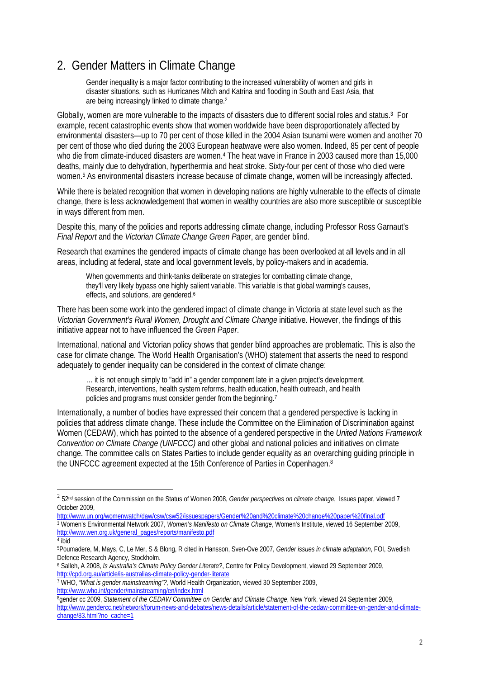## 2. Gender Matters in Climate Change

Gender inequality is a major factor contributing to the increased vulnerability of women and girls in disaster situations, such as Hurricanes Mitch and Katrina and flooding in South and East Asia, that are being increasingly linked to climate change.2

Globally, women are more vulnerable to the impacts of disasters due to different social roles and status.3 For example, recent catastrophic events show that women worldwide have been disproportionately affected by environmental disasters—up to 70 per cent of those killed in the 2004 Asian tsunami were women and another 70 per cent of those who died during the 2003 European heatwave were also women. Indeed, 85 per cent of people who die from climate-induced disasters are women.4 The heat wave in France in 2003 caused more than 15,000 deaths, mainly due to dehydration, hyperthermia and heat stroke. Sixty-four per cent of those who died were women.5 As environmental disasters increase because of climate change, women will be increasingly affected.

While there is belated recognition that women in developing nations are highly vulnerable to the effects of climate change, there is less acknowledgement that women in wealthy countries are also more susceptible or susceptible in ways different from men.

Despite this, many of the policies and reports addressing climate change, including Professor Ross Garnaut's *Final Report* and the *Victorian Climate Change Green Paper*, are gender blind.

Research that examines the gendered impacts of climate change has been overlooked at all levels and in all areas, including at federal, state and local government levels, by policy-makers and in academia.

When governments and think-tanks deliberate on strategies for combatting climate change, they'll very likely bypass one highly salient variable. This variable is that global warming's causes, effects, and solutions, are gendered.6

There has been some work into the gendered impact of climate change in Victoria at state level such as the *Victorian Government's Rural Women, Drought and Climate Change* initiative. However, the findings of this initiative appear not to have influenced the *Green Paper*.

International, national and Victorian policy shows that gender blind approaches are problematic. This is also the case for climate change. The World Health Organisation's (WHO) statement that asserts the need to respond adequately to gender inequality can be considered in the context of climate change:

… it is not enough simply to "add in" a gender component late in a given project's development. Research, interventions, health system reforms, health education, health outreach, and health policies and programs must consider gender from the beginning.7

Internationally, a number of bodies have expressed their concern that a gendered perspective is lacking in policies that address climate change. These include the Committee on the Elimination of Discrimination against Women (CEDAW), which has pointed to the absence of a gendered perspective in the *United Nations Framework Convention on Climate Change (UNFCCC)* and other global and national policies and initiatives on climate change. The committee calls on States Parties to include gender equality as an overarching guiding principle in the UNFCCC agreement expected at the 15th Conference of Parties in Copenhagen.8

http://www.un.org/womenwatch/daw/csw/csw52/issuespapers/Gender%20and%20climate%20change%20paper%20final.pdf 3 Women's Environmental Network 2007, *Women's Manifesto on Climate Change*, Women's Institute, viewed 16 September 2009, http://www.wen.org.uk/general\_pages/reports/manifesto.pdf

<u>.</u>

<sup>2</sup> 52nd session of the Commission on the Status of Women 2008, *Gender perspectives on climate change*, Issues paper, viewed 7 October 2009,

 $4$  ibid

<sup>5</sup>Poumadere, M, Mays, C, Le Mer, S & Blong, R cited in Hansson, Sven-Ove 2007, *Gender issues in climate adaptation*, FOI, Swedish Defence Research Agency, Stockholm.

<sup>6</sup> Salleh, A 2008, *Is Australia's Climate Policy Gender Literate?*, Centre for Policy Development, viewed 29 September 2009, http://cpd.org.au/article/is-australias-climate-policy-gender-literate

<sup>7</sup> WHO, *"What is gender mainstreaming"?,* World Health Organization, viewed 30 September 2009,

 $\frac{1}{6}$ gender cc 2009, *Statement of the CEDAW Committee on Gender and Climate Change*, New York, viewed 24 September 2009, http://www.gendercc.net/network/forum-news-and-debates/news-details/article/statement-of-the-cedaw-committee-on-gender-and-climatechange/83.html?no\_cache=1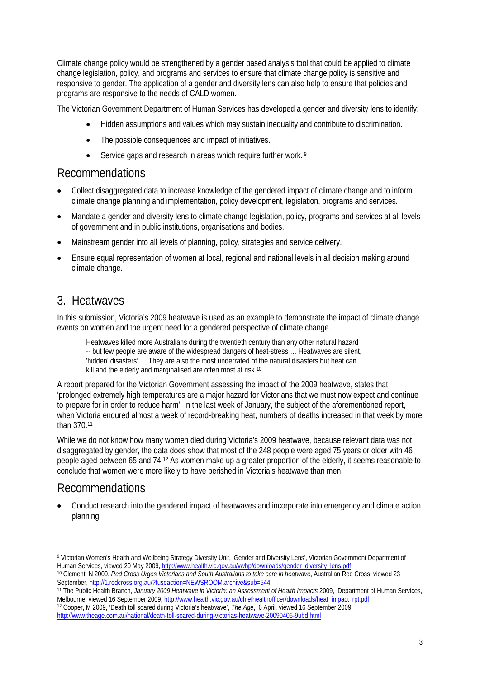Climate change policy would be strengthened by a gender based analysis tool that could be applied to climate change legislation, policy, and programs and services to ensure that climate change policy is sensitive and responsive to gender. The application of a gender and diversity lens can also help to ensure that policies and programs are responsive to the needs of CALD women.

The Victorian Government Department of Human Services has developed a gender and diversity lens to identify:

- Hidden assumptions and values which may sustain inequality and contribute to discrimination.
- The possible consequences and impact of initiatives.
- Service gaps and research in areas which require further work.<sup>9</sup>

#### Recommendations

- Collect disaggregated data to increase knowledge of the gendered impact of climate change and to inform climate change planning and implementation, policy development, legislation, programs and services.
- Mandate a gender and diversity lens to climate change legislation, policy, programs and services at all levels of government and in public institutions, organisations and bodies.
- Mainstream gender into all levels of planning, policy, strategies and service delivery.
- Ensure equal representation of women at local, regional and national levels in all decision making around climate change.

### 3. Heatwaves

In this submission, Victoria's 2009 heatwave is used as an example to demonstrate the impact of climate change events on women and the urgent need for a gendered perspective of climate change.

Heatwaves killed more Australians during the twentieth century than any other natural hazard -- but few people are aware of the widespread dangers of heat-stress … Heatwaves are silent, 'hidden' disasters' … They are also the most underrated of the natural disasters but heat can kill and the elderly and marginalised are often most at risk.<sup>10</sup>

A report prepared for the Victorian Government assessing the impact of the 2009 heatwave, states that 'prolonged extremely high temperatures are a major hazard for Victorians that we must now expect and continue to prepare for in order to reduce harm'. In the last week of January, the subject of the aforementioned report, when Victoria endured almost a week of record-breaking heat, numbers of deaths increased in that week by more than 370.11

While we do not know how many women died during Victoria's 2009 heatwave, because relevant data was not disaggregated by gender, the data does show that most of the 248 people were aged 75 years or older with 46 people aged between 65 and 74.12 As women make up a greater proportion of the elderly, it seems reasonable to conclude that women were more likely to have perished in Victoria's heatwave than men.

### Recommendations

<u>.</u>

• Conduct research into the gendered impact of heatwaves and incorporate into emergency and climate action planning.

<sup>9</sup> Victorian Women's Health and Wellbeing Strategy Diversity Unit, 'Gender and Diversity Lens', Victorian Government Department of<br>Human Services, viewed 20 May 2009, http://www.health.vic.gov.au/wwhp/downloads/gender\_diver

<sup>&</sup>lt;sup>10</sup> Clement, N 2009, *Red Cross Urges Victorians and South Australians to take care in heatwave*, Australian Red Cross, viewed 23<br>September, http://1.redcross.org.au/?fuseaction=NEWSROOM.archive&sub=544

<sup>&</sup>lt;sup>11</sup> The Public Health Branch, January 2009 Heatwave in Victoria: an Assessment of Health Impacts 2009, Department of Human Services, Melbourne, viewed 16 September 2009, http://www.health.vic.gov.au/chiefhealthofficer/downloads/heat\_impact\_rpt.pdf 12 Cooper, M 2009, 'Death toll soared during Victoria's heatwave', *The Age*, 6 April, viewed 16 September 2009, http://www.theage.com.au/national/death-toll-soared-during-victorias-heatwave-20090406-9ubd.html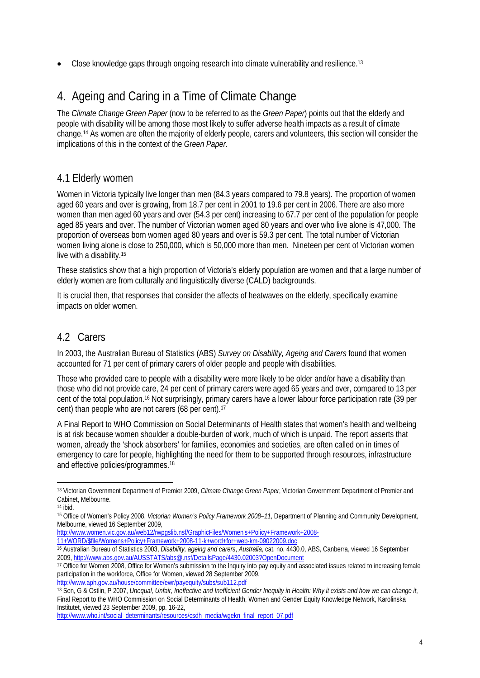• Close knowledge gaps through ongoing research into climate vulnerability and resilience.13

# 4. Ageing and Caring in a Time of Climate Change

The *Climate Change Green Paper* (now to be referred to as the *Green Paper*) points out that the elderly and people with disability will be among those most likely to suffer adverse health impacts as a result of climate change.14 As women are often the majority of elderly people, carers and volunteers, this section will consider the implications of this in the context of the *Green Paper*.

#### 4.1 Elderly women

Women in Victoria typically live longer than men (84.3 years compared to 79.8 years). The proportion of women aged 60 years and over is growing, from 18.7 per cent in 2001 to 19.6 per cent in 2006. There are also more women than men aged 60 years and over (54.3 per cent) increasing to 67.7 per cent of the population for people aged 85 years and over. The number of Victorian women aged 80 years and over who live alone is 47,000. The proportion of overseas born women aged 80 years and over is 59.3 per cent. The total number of Victorian women living alone is close to 250,000, which is 50,000 more than men. Nineteen per cent of Victorian women live with a disability.15

These statistics show that a high proportion of Victoria's elderly population are women and that a large number of elderly women are from culturally and linguistically diverse (CALD) backgrounds.

It is crucial then, that responses that consider the affects of heatwaves on the elderly, specifically examine impacts on older women.

#### 4.2 Carers

In 2003, the Australian Bureau of Statistics (ABS) *Survey on Disability, Ageing and Carers* found that women accounted for 71 per cent of primary carers of older people and people with disabilities.

Those who provided care to people with a disability were more likely to be older and/or have a disability than those who did not provide care, 24 per cent of primary carers were aged 65 years and over, compared to 13 per cent of the total population.16 Not surprisingly, primary carers have a lower labour force participation rate (39 per cent) than people who are not carers (68 per cent).17

A Final Report to WHO Commission on Social Determinants of Health states that women's health and wellbeing is at risk because women shoulder a double-burden of work, much of which is unpaid. The report asserts that women, already the 'shock absorbers' for families, economies and societies, are often called on in times of emergency to care for people, highlighting the need for them to be supported through resources, infrastructure and effective policies/programmes.18

1

- http://www.women.vic.gov.au/web12/rwpgslib.nsf/GraphicFiles/Women's+Policy+Framework+2008-
- 11+WORD/\$file/Womens+Policy+Framework+2008-11-k+word+for+web-km-09022009.doc
- 16 Australian Bureau of Statistics 2003, *Disability, ageing and carers*, *Australia*, cat. no. 4430.0, ABS, Canberra, viewed 16 September 2009, http://www.abs.gov.au/AUSSTATS/abs@.nsf/DetailsPage/4430.02003?OpenDocument

http://www.aph.gov.au/house/committee/ewr/payequity/subs/sub112.pdf 18 Sen, G & Ostlin, P 2007, *Unequal, Unfair, Ineffective and Inefficient Gender Inequity in Health: Why it exists and how we can change it*, Final Report to the WHO Commission on Social Determinants of Health, Women and Gender Equity Knowledge Network, Karolinska Institutet, viewed 23 September 2009, pp. 16-22,

<sup>13</sup> Victorian Government Department of Premier 2009, *Climate Change Green Paper*, Victorian Government Department of Premier and Cabinet, Melbourne.

 $14$  ibid.

<sup>15</sup> Office of Women's Policy 2008, *Victorian Women's Policy Framework 2008–11*, Department of Planning and Community Development, Melbourne, viewed 16 September 2009,

<sup>&</sup>lt;sup>17</sup> Office for Women 2008, Office for Women's submission to the Inquiry into pay equity and associated issues related to increasing female participation in the workforce, Office for Women, viewed 28 September 2009,

http://www.who.int/social\_determinants/resources/csdh\_media/wgekn\_final\_report\_07.pdf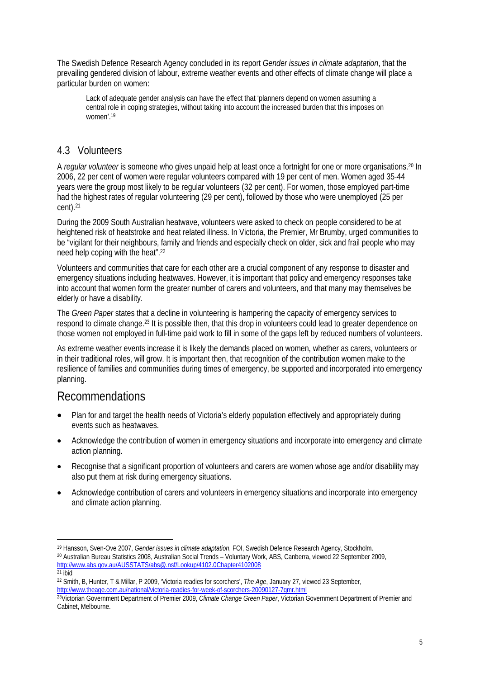The Swedish Defence Research Agency concluded in its report *Gender issues in climate adaptation*, that the prevailing gendered division of labour, extreme weather events and other effects of climate change will place a particular burden on women:

Lack of adequate gender analysis can have the effect that 'planners depend on women assuming a central role in coping strategies, without taking into account the increased burden that this imposes on women'.19

#### 4.3 Volunteers

A *regular volunteer* is someone who gives unpaid help at least once a fortnight for one or more organisations.20 In 2006, 22 per cent of women were regular volunteers compared with 19 per cent of men. Women aged 35-44 years were the group most likely to be regular volunteers (32 per cent). For women, those employed part-time had the highest rates of regular volunteering (29 per cent), followed by those who were unemployed (25 per cent).21

During the 2009 South Australian heatwave, volunteers were asked to check on people considered to be at heightened risk of heatstroke and heat related illness. In Victoria, the Premier, Mr Brumby, urged communities to be "vigilant for their neighbours, family and friends and especially check on older, sick and frail people who may need help coping with the heat".22

Volunteers and communities that care for each other are a crucial component of any response to disaster and emergency situations including heatwaves. However, it is important that policy and emergency responses take into account that women form the greater number of carers and volunteers, and that many may themselves be elderly or have a disability.

The *Green Paper* states that a decline in volunteering is hampering the capacity of emergency services to respond to climate change.23 It is possible then, that this drop in volunteers could lead to greater dependence on those women not employed in full-time paid work to fill in some of the gaps left by reduced numbers of volunteers.

As extreme weather events increase it is likely the demands placed on women, whether as carers, volunteers or in their traditional roles, will grow. It is important then, that recognition of the contribution women make to the resilience of families and communities during times of emergency, be supported and incorporated into emergency planning.

#### Recommendations

- Plan for and target the health needs of Victoria's elderly population effectively and appropriately during events such as heatwaves.
- Acknowledge the contribution of women in emergency situations and incorporate into emergency and climate action planning.
- Recognise that a significant proportion of volunteers and carers are women whose age and/or disability may also put them at risk during emergency situations.
- Acknowledge contribution of carers and volunteers in emergency situations and incorporate into emergency and climate action planning.

```
21 ibid
```
<sup>1</sup> <sup>19</sup> Hansson, Sven-Ove 2007, *Gender issues in climate adaptation*, FOI, Swedish Defence Research Agency, Stockholm.<br><sup>20</sup> Australian Bureau Statistics 2008, Australian Social Trends – Voluntary Work, ABS, Canberra, viewed http://www.abs.gov.au/AUSSTATS/abs@.nsf/Lookup/4102.0Chapter4102008

<sup>22</sup> Smith, B, Hunter, T & Millar, P 2009, 'Victoria readies for scorchers', *The Age*, January 27, viewed 23 September, http://www.theage.com.au/national/victoria-readies-for-week-of-scorchers-20090127-7qmr.html

<sup>&</sup>lt;sup>23</sup>Victorian Government Department of Premier 2009, *Climate Change Green Paper*, Victorian Government Department of Premier and Cabinet, Melbourne.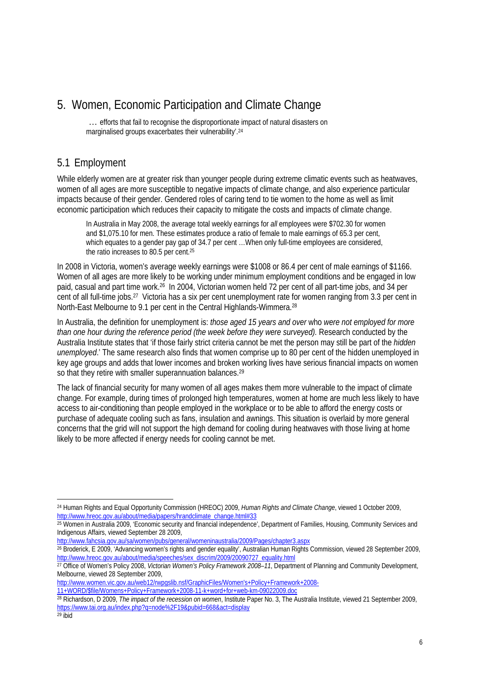## 5. Women, Economic Participation and Climate Change

… efforts that fail to recognise the disproportionate impact of natural disasters on marginalised groups exacerbates their vulnerability'.24

#### 5.1 Employment

While elderly women are at greater risk than younger people during extreme climatic events such as heatwaves, women of all ages are more susceptible to negative impacts of climate change, and also experience particular impacts because of their gender. Gendered roles of caring tend to tie women to the home as well as limit economic participation which reduces their capacity to mitigate the costs and impacts of climate change.

In Australia in May 2008, the average total weekly earnings for *all* employees were \$702.30 for women and \$1,075.10 for men. These estimates produce a ratio of female to male earnings of 65.3 per cent, which equates to a gender pay gap of 34.7 per cent …When only full-time employees are considered, the ratio increases to 80.5 per cent.25

In 2008 in Victoria, women's average weekly earnings were \$1008 or 86.4 per cent of male earnings of \$1166. Women of all ages are more likely to be working under minimum employment conditions and be engaged in low paid, casual and part time work.26 In 2004, Victorian women held 72 per cent of all part-time jobs, and 34 per cent of all full-time jobs.27 Victoria has a six per cent unemployment rate for women ranging from 3.3 per cent in North-East Melbourne to 9.1 per cent in the Central Highlands-Wimmera.28

In Australia, the definition for unemployment is: *those aged 15 years and over* who *were not employed for more than one hour during the reference period (the week before they were surveyed).* Research conducted by the Australia Institute states that 'if those fairly strict criteria cannot be met the person may still be part of the *hidden unemployed*.' The same research also finds that women comprise up to 80 per cent of the hidden unemployed in key age groups and adds that lower incomes and broken working lives have serious financial impacts on women so that they retire with smaller superannuation balances.<sup>29</sup>

The lack of financial security for many women of all ages makes them more vulnerable to the impact of climate change. For example, during times of prolonged high temperatures, women at home are much less likely to have access to air-conditioning than people employed in the workplace or to be able to afford the energy costs or purchase of adequate cooling such as fans, insulation and awnings. This situation is overlaid by more general concerns that the grid will not support the high demand for cooling during heatwaves with those living at home likely to be more affected if energy needs for cooling cannot be met.

<sup>1</sup> 24 Human Rights and Equal Opportunity Commission (HREOC) 2009, *Human Rights and Climate Change*, viewed 1 October 2009, http://www.hreoc.gov.au/about/media/papers/hrandclimate\_change.html#33

 $25$  Women in Australia 2009, 'Economic security and financial independence', Department of Families, Housing, Community Services and Indigenous Affairs, viewed September 28 2009,

http://www.fahcsia.gov.au/sa/women/pubs/general/womeninaustralia/2009/Pages/chapter3.aspx

<sup>26</sup> Broderick, E 2009, 'Advancing women's rights and gender equality', Australian Human Rights Commission, viewed 28 September 2009, http://www.hreoc.gov.au/about/media/speeches/sex\_discrim/2009/20090727\_equality.html

<sup>27</sup> Office of Women's Policy 2008, *Victorian Women's Policy Framework 2008–11*, Department of Planning and Community Development, Melbourne, viewed 28 September 2009,

http://www.women.vic.gov.au/web12/rwpgslib.nsf/GraphicFiles/Women's+Policy+Framework+2008- 11+WORD/\$file/Womens+Policy+Framework+2008-11-k+word+for+web-km-09022009.doc

<sup>28</sup> Richardson, D 2009, *The impact of the recession on women*, Institute Paper No. 3, The Australia Institute, viewed 21 September 2009, https://www.tai.org.au/index.php?q=node%2F19&pubid=668&act=display<br><sup>29</sup> ibid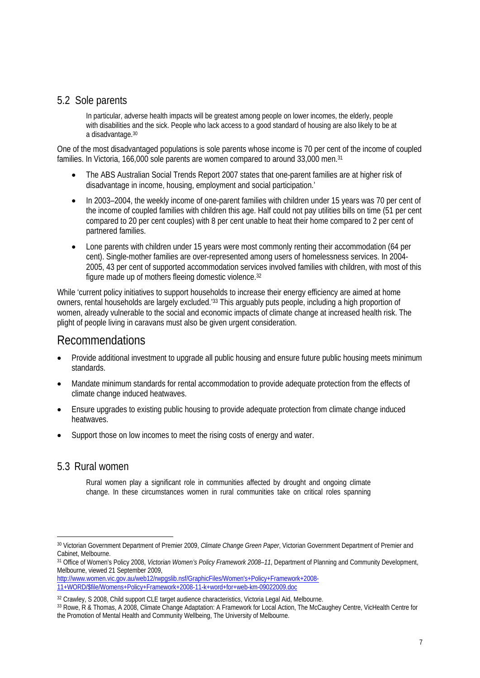#### 5.2 Sole parents

In particular, adverse health impacts will be greatest among people on lower incomes, the elderly, people with disabilities and the sick. People who lack access to a good standard of housing are also likely to be at a disadvantage.30

One of the most disadvantaged populations is sole parents whose income is 70 per cent of the income of coupled families. In Victoria, 166,000 sole parents are women compared to around 33,000 men.<sup>31</sup>

- The ABS Australian Social Trends Report 2007 states that one-parent families are at higher risk of disadvantage in income, housing, employment and social participation.'
- In 2003–2004, the weekly income of one-parent families with children under 15 years was 70 per cent of the income of coupled families with children this age. Half could not pay utilities bills on time (51 per cent compared to 20 per cent couples) with 8 per cent unable to heat their home compared to 2 per cent of partnered families.
- Lone parents with children under 15 years were most commonly renting their accommodation (64 per cent). Single-mother families are over-represented among users of homelessness services. In 2004- 2005, 43 per cent of supported accommodation services involved families with children, with most of this figure made up of mothers fleeing domestic violence.32

While 'current policy initiatives to support households to increase their energy efficiency are aimed at home owners, rental households are largely excluded.'33 This arguably puts people, including a high proportion of women, already vulnerable to the social and economic impacts of climate change at increased health risk. The plight of people living in caravans must also be given urgent consideration.

#### Recommendations

- Provide additional investment to upgrade all public housing and ensure future public housing meets minimum standards.
- Mandate minimum standards for rental accommodation to provide adequate protection from the effects of climate change induced heatwaves.
- Ensure upgrades to existing public housing to provide adequate protection from climate change induced heatwaves.
- Support those on low incomes to meet the rising costs of energy and water.

#### 5.3 Rural women

Rural women play a significant role in communities affected by drought and ongoing climate change. In these circumstances women in rural communities take on critical roles spanning

http://www.women.vic.gov.au/web12/rwpgslib.nsf/GraphicFiles/Women's+Policy+Framework+2008- 11+WORD/\$file/Womens+Policy+Framework+2008-11-k+word+for+web-km-09022009.doc

<sup>&</sup>lt;u>.</u> 30 Victorian Government Department of Premier 2009, *Climate Change Green Paper*, Victorian Government Department of Premier and Cabinet, Melbourne.

<sup>31</sup> Office of Women's Policy 2008, *Victorian Women's Policy Framework 2008–11*, Department of Planning and Community Development, Melbourne, viewed 21 September 2009,

<sup>32</sup> Crawley, S 2008, Child support CLE target audience characteristics, Victoria Legal Aid, Melbourne.

<sup>33</sup> Rowe, R & Thomas, A 2008, Climate Change Adaptation: A Framework for Local Action, The McCaughey Centre, VicHealth Centre for the Promotion of Mental Health and Community Wellbeing, The University of Melbourne.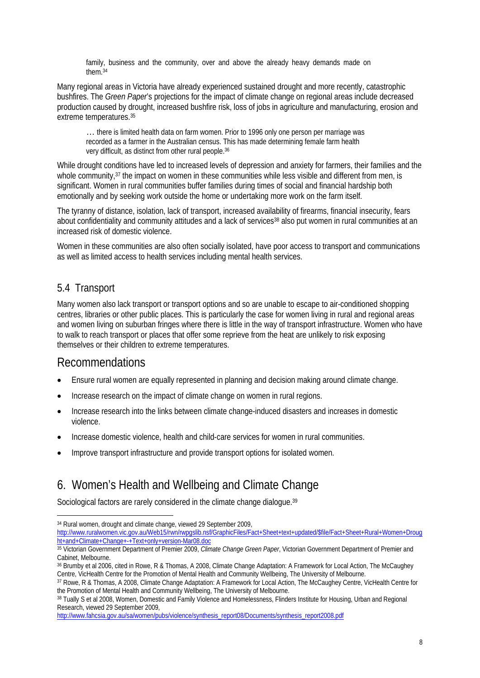family, business and the community, over and above the already heavy demands made on them.34

Many regional areas in Victoria have already experienced sustained drought and more recently, catastrophic bushfires. The *Green Paper*'s projections for the impact of climate change on regional areas include decreased production caused by drought, increased bushfire risk, loss of jobs in agriculture and manufacturing, erosion and extreme temperatures.35

... there is limited health data on farm women. Prior to 1996 only one person per marriage was recorded as a farmer in the Australian census. This has made determining female farm health very difficult, as distinct from other rural people.36

While drought conditions have led to increased levels of depression and anxiety for farmers, their families and the whole community,<sup>37</sup> the impact on women in these communities while less visible and different from men, is significant. Women in rural communities buffer families during times of social and financial hardship both emotionally and by seeking work outside the home or undertaking more work on the farm itself.

The tyranny of distance, isolation, lack of transport, increased availability of firearms, financial insecurity, fears about confidentiality and community attitudes and a lack of services<sup>38</sup> also put women in rural communities at an increased risk of domestic violence.

Women in these communities are also often socially isolated, have poor access to transport and communications as well as limited access to health services including mental health services.

#### 5.4 Transport

Many women also lack transport or transport options and so are unable to escape to air-conditioned shopping centres, libraries or other public places. This is particularly the case for women living in rural and regional areas and women living on suburban fringes where there is little in the way of transport infrastructure. Women who have to walk to reach transport or places that offer some reprieve from the heat are unlikely to risk exposing themselves or their children to extreme temperatures.

### Recommendations

- Ensure rural women are equally represented in planning and decision making around climate change.
- Increase research on the impact of climate change on women in rural regions.
- Increase research into the links between climate change-induced disasters and increases in domestic violence.
- Increase domestic violence, health and child-care services for women in rural communities.
- Improve transport infrastructure and provide transport options for isolated women.

# 6. Women's Health and Wellbeing and Climate Change

Sociological factors are rarely considered in the climate change dialogue.<sup>39</sup>

1 <sup>34</sup> Rural women, drought and climate change, viewed 29 September 2009,

http://www.ruralwomen.vic.gov.au/Web15/rwn/rwpgslib.nsf/GraphicFiles/Fact+Sheet+text+updated/\$file/Fact+Sheet+Rural+Women+Droug ht+and+Climate+Change+-+Text+only+version-Mar08.doc

<sup>35</sup> Victorian Government Department of Premier 2009, *Climate Change Green Paper*, Victorian Government Department of Premier and Cabinet, Melbourne.

<sup>36</sup> Brumby et al 2006, cited in Rowe, R & Thomas, A 2008, Climate Change Adaptation: A Framework for Local Action, The McCaughey Centre, VicHealth Centre for the Promotion of Mental Health and Community Wellbeing, The University of Melbourne.

<sup>37</sup> Rowe, R & Thomas, A 2008, Climate Change Adaptation: A Framework for Local Action, The McCaughey Centre, VicHealth Centre for the Promotion of Mental Health and Community Wellbeing, The University of Melbourne.

<sup>38</sup> Tually S et al 2008, Women, Domestic and Family Violence and Homelessness, Flinders Institute for Housing, Urban and Regional Research, viewed 29 September 2009,

http://www.fahcsia.gov.au/sa/women/pubs/violence/synthesis\_report08/Documents/synthesis\_report2008.pdf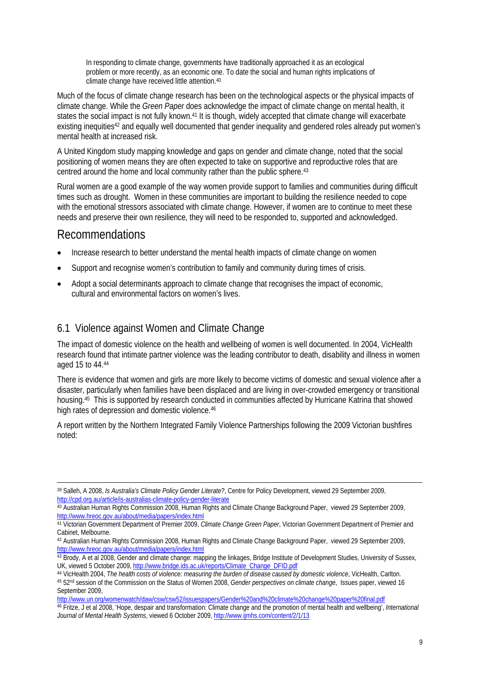In responding to climate change, governments have traditionally approached it as an ecological problem or more recently, as an economic one. To date the social and human rights implications of climate change have received little attention.40

Much of the focus of climate change research has been on the technological aspects or the physical impacts of climate change. While the *Green Paper* does acknowledge the impact of climate change on mental health, it states the social impact is not fully known.<sup>41</sup> It is though, widely accepted that climate change will exacerbate existing inequities<sup>42</sup> and equally well documented that gender inequality and gendered roles already put women's mental health at increased risk.

A United Kingdom study mapping knowledge and gaps on gender and climate change, noted that the social positioning of women means they are often expected to take on supportive and reproductive roles that are centred around the home and local community rather than the public sphere.<sup>43</sup>

Rural women are a good example of the way women provide support to families and communities during difficult times such as drought. Women in these communities are important to building the resilience needed to cope with the emotional stressors associated with climate change. However, if women are to continue to meet these needs and preserve their own resilience, they will need to be responded to, supported and acknowledged.

### Recommendations

1

- Increase research to better understand the mental health impacts of climate change on women
- Support and recognise women's contribution to family and community during times of crisis.
- Adopt a social determinants approach to climate change that recognises the impact of economic, cultural and environmental factors on women's lives.

### 6.1 Violence against Women and Climate Change

The impact of domestic violence on the health and wellbeing of women is well documented. In 2004, VicHealth research found that intimate partner violence was the leading contributor to death, disability and illness in women aged 15 to 44.44

There is evidence that women and girls are more likely to become victims of domestic and sexual violence after a disaster, particularly when families have been displaced and are living in over-crowded emergency or transitional housing.45 This is supported by research conducted in communities affected by Hurricane Katrina that showed high rates of depression and domestic violence.<sup>46</sup>

A report written by the Northern Integrated Family Violence Partnerships following the 2009 Victorian bushfires noted:

http://www.un.org/womenwatch/daw/csw/csw52/issuespapers/Gender%20and%20climate%20change%20paper%20final.pdf

46 Fritze, J et al 2008, 'Hope, despair and transformation: Climate change and the promotion of mental health and wellbeing', *International Journal of Mental Health Systems*, viewed 6 October 2009, http://www.ijmhs.com/content/2/1/13

<sup>39</sup> Salleh, A 2008, *Is Australia's Climate Policy Gender Literate?*, Centre for Policy Development, viewed 29 September 2009, http://cpd.org.au/article/is-australias-climate-policy-gender-literate

<sup>40</sup> Australian Human Rights Commission 2008, Human Rights and Climate Change Background Paper, viewed 29 September 2009, http://www.hreoc.gov.au/about/media/papers/index.html

<sup>41</sup> Victorian Government Department of Premier 2009, *Climate Change Green Paper*, Victorian Government Department of Premier and Cabinet, Melbourne.

<sup>42</sup> Australian Human Rights Commission 2008, Human Rights and Climate Change Background Paper, viewed 29 September 2009, http://www.hreoc.gov.au/about/media/papers/index.html

<sup>43</sup> Brody, A et al 2008, Gender and climate change: mapping the linkages, Bridge Institute of Development Studies, University of Sussex, UK, viewed 5 October 2009, http://www.bridge.ids.ac.uk/reports/Climate\_Change\_DFID.pdf

<sup>44</sup> VicHealth 2004, *The health costs of violence: measuring the burden of disease caused by domestic violence*, VicHealth, Carlton.<br>45 52<sup>nd</sup> session of the Commission on the Status of Women 2008, *Gender perspectives on c* September 2009,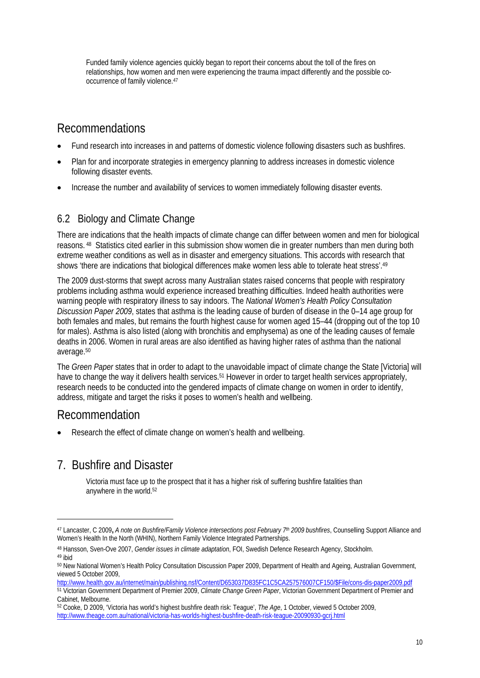Funded family violence agencies quickly began to report their concerns about the toll of the fires on relationships, how women and men were experiencing the trauma impact differently and the possible cooccurrence of family violence.47

# Recommendations

- Fund research into increases in and patterns of domestic violence following disasters such as bushfires.
- Plan for and incorporate strategies in emergency planning to address increases in domestic violence following disaster events.
- Increase the number and availability of services to women immediately following disaster events.

### 6.2 Biology and Climate Change

There are indications that the health impacts of climate change can differ between women and men for biological reasons. 48 Statistics cited earlier in this submission show women die in greater numbers than men during both extreme weather conditions as well as in disaster and emergency situations. This accords with research that shows 'there are indications that biological differences make women less able to tolerate heat stress'.49

The 2009 dust-storms that swept across many Australian states raised concerns that people with respiratory problems including asthma would experience increased breathing difficulties. Indeed health authorities were warning people with respiratory illness to say indoors. The *National Women's Health Policy Consultation Discussion Paper 2009*, states that asthma is the leading cause of burden of disease in the 0–14 age group for both females and males, but remains the fourth highest cause for women aged 15–44 (dropping out of the top 10 for males). Asthma is also listed (along with bronchitis and emphysema) as one of the leading causes of female deaths in 2006. Women in rural areas are also identified as having higher rates of asthma than the national average.50

The *Green Paper* states that in order to adapt to the unavoidable impact of climate change the State [Victoria] will have to change the way it delivers health services.<sup>51</sup> However in order to target health services appropriately, research needs to be conducted into the gendered impacts of climate change on women in order to identify, address, mitigate and target the risks it poses to women's health and wellbeing.

## Recommendation

1

Research the effect of climate change on women's health and wellbeing.

# 7. Bushfire and Disaster

Victoria must face up to the prospect that it has a higher risk of suffering bushfire fatalities than anywhere in the world.52

<sup>47</sup> Lancaster, C 2009**,** *A note on Bushfire/Family Violence intersections post February 7th 2009 bushfires*, Counselling Support Alliance and Women's Health In the North (WHIN), Northern Family Violence Integrated Partnerships.

<sup>48</sup> Hansson, Sven-Ove 2007, *Gender issues in climate adaptation*, FOI, Swedish Defence Research Agency, Stockholm. 49 ibid

<sup>50</sup> New National Women's Health Policy Consultation Discussion Paper 2009, Department of Health and Ageing, Australian Government, viewed 5 October 2009,

http://www.health.gov.au/internet/main/publishing.nsf/Content/D653037D835FC1C5CA257576007CF150/\$File/cons-dis-paper2009.pdf 51 Victorian Government Department of Premier 2009, *Climate Change Green Paper*, Victorian Government Department of Premier and Cabinet, Melbourne.

<sup>52</sup> Cooke, D 2009, 'Victoria has world's highest bushfire death risk: Teague', *The Age*, 1 October, viewed 5 October 2009, http://www.theage.com.au/national/victoria-has-worlds-highest-bushfire-death-risk-teague-20090930-gcrj.html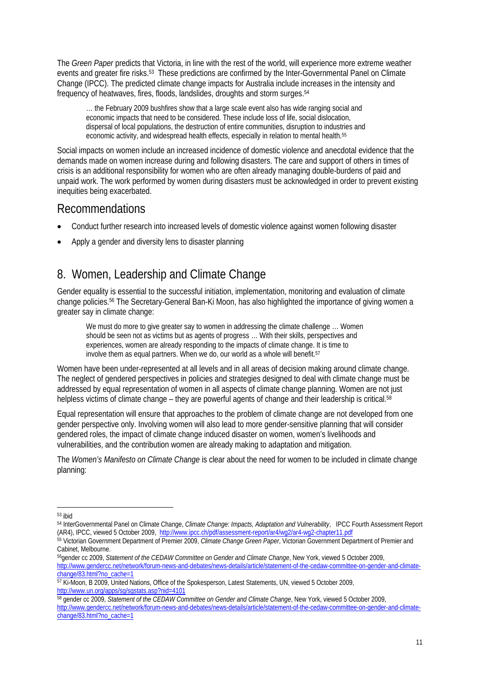The *Green Paper* predicts that Victoria, in line with the rest of the world, will experience more extreme weather events and greater fire risks.53 These predictions are confirmed by the Inter-Governmental Panel on Climate Change (IPCC). The predicted climate change impacts for Australia include increases in the intensity and frequency of heatwaves, fires, floods, landslides, droughts and storm surges.54

… the February 2009 bushfires show that a large scale event also has wide ranging social and economic impacts that need to be considered. These include loss of life, social dislocation, dispersal of local populations, the destruction of entire communities, disruption to industries and economic activity, and widespread health effects, especially in relation to mental health.<sup>55</sup>

Social impacts on women include an increased incidence of domestic violence and anecdotal evidence that the demands made on women increase during and following disasters. The care and support of others in times of crisis is an additional responsibility for women who are often already managing double-burdens of paid and unpaid work. The work performed by women during disasters must be acknowledged in order to prevent existing inequities being exacerbated.

### Recommendations

- Conduct further research into increased levels of domestic violence against women following disaster
- Apply a gender and diversity lens to disaster planning

# 8. Women, Leadership and Climate Change

Gender equality is essential to the successful initiation, implementation, monitoring and evaluation of climate change policies.56 The Secretary-General Ban-Ki Moon, has also highlighted the importance of giving women a greater say in climate change:

We must do more to give greater say to women in addressing the climate challenge ... Women should be seen not as victims but as agents of progress … With their skills, perspectives and experiences, women are already responding to the impacts of climate change. It is time to involve them as equal partners. When we do, our world as a whole will benefit.<sup>57</sup>

Women have been under-represented at all levels and in all areas of decision making around climate change. The neglect of gendered perspectives in policies and strategies designed to deal with climate change must be addressed by equal representation of women in all aspects of climate change planning. Women are not just helpless victims of climate change – they are powerful agents of change and their leadership is critical.<sup>58</sup>

Equal representation will ensure that approaches to the problem of climate change are not developed from one gender perspective only. Involving women will also lead to more gender-sensitive planning that will consider gendered roles, the impact of climate change induced disaster on women, women's livelihoods and vulnerabilities, and the contribution women are already making to adaptation and mitigation.

The *Women's Manifesto on Climate Change* is clear about the need for women to be included in climate change planning:

58 gender cc 2009, *Statement of the CEDAW Committee on Gender and Climate Change*, New York, viewed 5 October 2009, http://www.gendercc.net/network/forum-news-and-debates/news-details/article/statement-of-the-cedaw-committee-on-gender-and-climatechange/83.html?no\_cache=1

<sup>1</sup> 53 ibid

<sup>54</sup> InterGovernmental Panel on Climate Change, *Climate Change: Impacts, Adaptation and Vulnerability*, IPCC Fourth Assessment Report (AR4), IPCC, viewed 5 October 2009, http://www.ipcc.ch/pdf/assessment-report/ar4/wg2/ar4-wg2-chapter11.pdf

<sup>55</sup> Victorian Government Department of Premier 2009, *Climate Change Green Paper*, Victorian Government Department of Premier and Cabinet, Melbourne.

<sup>56</sup>gender cc 2009, *Statement of the CEDAW Committee on Gender and Climate Change*, New York, viewed 5 October 2009, http://www.gendercc.net/network/forum-news-and-debates/news-details/article/statement-of-the-cedaw-committee-on-gender-and-climatechange/83.html?no\_cache=1<br>
<sup>57</sup> Ki-Moon, B 2009, United Nations, Office of the Spokesperson, Latest Statements, UN, viewed 5 October 2009,

http://www.un.org/apps/sg/sgstats.asp?nid=4101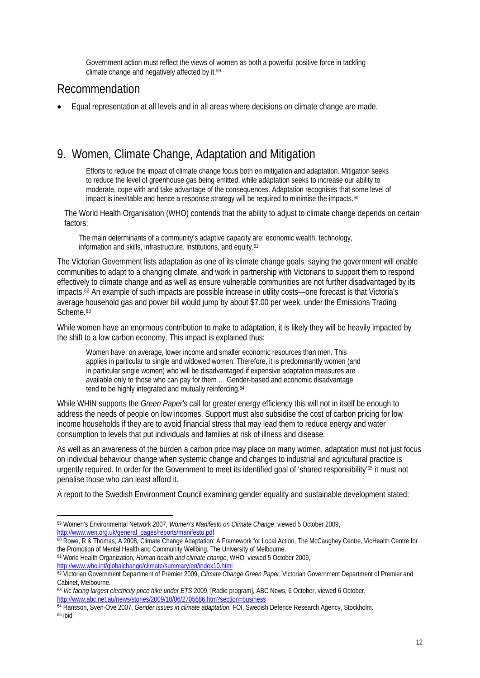Government action must reflect the views of women as both a powerful positive force in tackling climate change and negatively affected by it.59

## Recommendation

• Equal representation at all levels and in all areas where decisions on climate change are made.

# 9. Women, Climate Change, Adaptation and Mitigation

Efforts to reduce the impact of climate change focus both on mitigation and adaptation. Mitigation seeks to reduce the level of greenhouse gas being emitted, while adaptation seeks to increase our ability to moderate, cope with and take advantage of the consequences. Adaptation recognises that some level of impact is inevitable and hence a response strategy will be required to minimise the impacts.<sup>60</sup>

The World Health Organisation (WHO) contends that the ability to adjust to climate change depends on certain factors:

The main determinants of a community's adaptive capacity are: economic wealth, technology, information and skills, infrastructure, institutions, and equity.61

The Victorian Government lists adaptation as one of its climate change goals, saying the government will enable communities to adapt to a changing climate, and work in partnership with Victorians to support them to respond effectively to climate change and as well as ensure vulnerable communities are not further disadvantaged by its impacts.62 An example of such impacts are possible increase in utility costs—one forecast is that Victoria's average household gas and power bill would jump by about \$7.00 per week, under the Emissions Trading Scheme.<sup>63</sup>

While women have an enormous contribution to make to adaptation, it is likely they will be heavily impacted by the shift to a low carbon economy. This impact is explained thus:

Women have, on average, lower income and smaller economic resources than men. This applies in particular to single and widowed women. Therefore, it is predominantly women (and in particular single women) who will be disadvantaged if expensive adaptation measures are available only to those who can pay for them … Gender-based and economic disadvantage tend to be highly integrated and mutually reinforcing.<sup>64</sup>

While WHIN supports the *Green Paper's* call for greater energy efficiency this will not in itself be enough to address the needs of people on low incomes. Support must also subsidise the cost of carbon pricing for low income households if they are to avoid financial stress that may lead them to reduce energy and water consumption to levels that put individuals and families at risk of illness and disease.

As well as an awareness of the burden a carbon price may place on many women, adaptation must not just focus on individual behaviour change when systemic change and changes to industrial and agricultural practice is urgently required. In order for the Government to meet its identified goal of 'shared responsibility'<sup>65</sup> it must not penalise those who can least afford it.

A report to the Swedish Environment Council examining gender equality and sustainable development stated:

1

<sup>59</sup> Women's Environmental Network 2007, *Women's Manifesto on Climate Change*, viewed 5 October 2009, http://www.wen.org.uk/general\_pages/reports/manifesto.pdf

<sup>60</sup> Rowe, R & Thomas, A 2008, Climate Change Adaptation: A Framework for Local Action, The McCaughey Centre, VicHealth Centre for the Promotion of Mental Health and Community Wellbing, The University of Melbourne.

<sup>61</sup> World Health Organization, *Human health and climate change*, WHO, viewed 5 October 2009, http://www.who.int/globalchange/climate/summary/en/index10.html

<sup>62</sup> Victorian Government Department of Premier 2009, *Climate Change Green Paper*, Victorian Government Department of Premier and Cabinet, Melbourne.

<sup>63</sup> *Vic facing largest electricity price hike under ETS* 2009, [Radio program], ABC News, 6 October, viewed 6 October, http://www.abc.net.au/news/stories/2009/10/06/2705686.htm?section=business

<sup>64</sup> Hansson, Sven-Ove 2007, *Gender issues in climate adaptation*, FOI, Swedish Defence Research Agency, Stockholm. 65 ibid